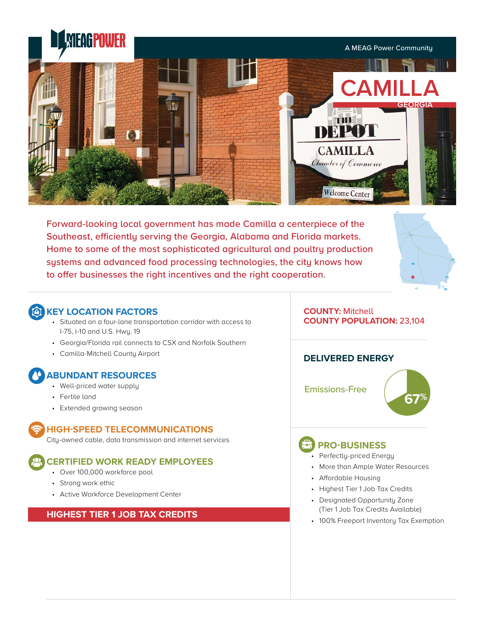

Forward-looking local government has made Camilla a centerpiece of the Southeast, efficiently serving the Georgia, Alabama and Florida markets. Home to some of the most sophisticated agricultural and poultry production systems and advanced food processing technologies, the city knows how to offer businesses the right incentives and the right cooperation.



# **CONTRACTORS**

- Situated on a four-lane transportation corridor with access to I-75, I-10 and U.S. Hwy. 19
- Georgia/Florida rail connects to CSX and Norfolk Southern
- Camilla-Mitchell County Airport

# **ABUNDANT RESOURCES**

- Well-priced water supply
- Fertile land
- Extended growing season

## **HIGH-SPEED TELECOMMUNICATIONS**

City-owned cable, data transmission and internet services

# **CERTIFIED WORK READY EMPLOYEES**

- Over 100,000 workforce pool
- Strong work ethic
- Active Workforce Development Center

# **HIGHEST TIER 1 JOB TAX CREDITS**

#### **COUNTY:** Mitchell **COUNTY POPULATION:** 23,104

# **DELIVERED ENERGY**

Emissions-Free

# **67%**

# **PRO-BUSINESS**

- Perfectly-priced Energy
- More than Ample Water Resources
- Affordable Housing
- Highest Tier 1 Job Tax Credits
- Designated Opportunity Zone (Tier 1 Job Tax Credits Available)
- 100% Freeport Inventory Tax Exemption